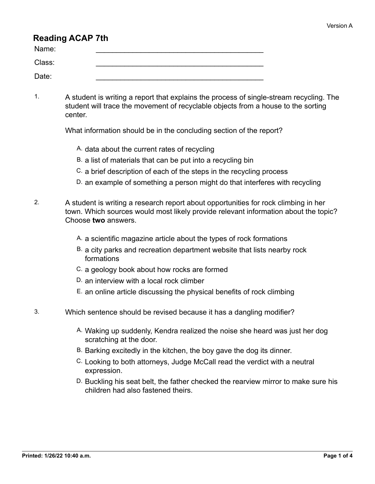# **Reading ACAP 7th**

| Name:  |  |
|--------|--|
| Class: |  |
| Date:  |  |

1. A student is writing a report that explains the process of single-stream recycling. The student will trace the movement of recyclable objects from a house to the sorting center.

What information should be in the concluding section of the report?

- A. data about the current rates of recycling
- B. a list of materials that can be put into a recycling bin
- C. a brief description of each of the steps in the recycling process
- D. an example of something a person might do that interferes with recycling
- 2. A student is writing a research report about opportunities for rock climbing in her town. Which sources would most likely provide relevant information about the topic? Choose **two** answers.
	- A. a scientific magazine article about the types of rock formations
	- B. a city parks and recreation department website that lists nearby rock formations
	- C. a geology book about how rocks are formed
	- D. an interview with a local rock climber
	- E. an online article discussing the physical benefits of rock climbing
- 3. Which sentence should be revised because it has a dangling modifier?
	- A. Waking up suddenly, Kendra realized the noise she heard was just her dog scratching at the door.
	- B. Barking excitedly in the kitchen, the boy gave the dog its dinner.
	- C. Looking to both attorneys, Judge McCall read the verdict with a neutral expression.
	- D. Buckling his seat belt, the father checked the rearview mirror to make sure his children had also fastened theirs.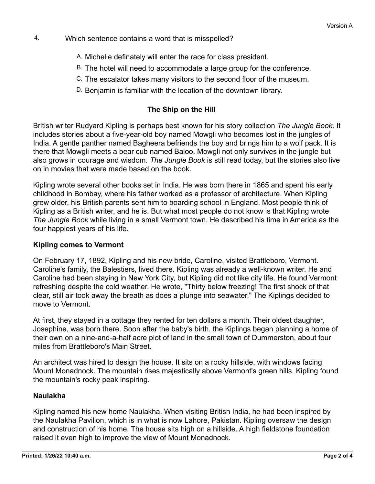- 4. Which sentence contains a word that is misspelled?
	- A. Michelle definately will enter the race for class president.
	- B. The hotel will need to accommodate a large group for the conference.
	- C. The escalator takes many visitors to the second floor of the museum.
	- D. Benjamin is familiar with the location of the downtown library.

#### **The Ship on the Hill**

British writer Rudyard Kipling is perhaps best known for his story collection *The Jungle Book*. It includes stories about a five-year-old boy named Mowgli who becomes lost in the jungles of India. A gentle panther named Bagheera befriends the boy and brings him to a wolf pack. It is there that Mowgli meets a bear cub named Baloo. Mowgli not only survives in the jungle but also grows in courage and wisdom. *The Jungle Book* is still read today, but the stories also live on in movies that were made based on the book.

Kipling wrote several other books set in India. He was born there in 1865 and spent his early childhood in Bombay, where his father worked as a professor of architecture. When Kipling grew older, his British parents sent him to boarding school in England. Most people think of Kipling as a British writer, and he is. But what most people do not know is that Kipling wrote *The Jungle Book* while living in a small Vermont town. He described his time in America as the four happiest years of his life.

#### **Kipling comes to Vermont**

On February 17, 1892, Kipling and his new bride, Caroline, visited Brattleboro, Vermont. Caroline's family, the Balestiers, lived there. Kipling was already a well-known writer. He and Caroline had been staying in New York City, but Kipling did not like city life. He found Vermont refreshing despite the cold weather. He wrote, "Thirty below freezing! The first shock of that clear, still air took away the breath as does a plunge into seawater." The Kiplings decided to move to Vermont.

At first, they stayed in a cottage they rented for ten dollars a month. Their oldest daughter, Josephine, was born there. Soon after the baby's birth, the Kiplings began planning a home of their own on a nine-and-a-half acre plot of land in the small town of Dummerston, about four miles from Brattleboro's Main Street.

An architect was hired to design the house. It sits on a rocky hillside, with windows facing Mount Monadnock. The mountain rises majestically above Vermont's green hills. Kipling found the mountain's rocky peak inspiring.

## **Naulakha**

Kipling named his new home Naulakha. When visiting British India, he had been inspired by the Naulakha Pavilion, which is in what is now Lahore, Pakistan. Kipling oversaw the design and construction of his home. The house sits high on a hillside. A high fieldstone foundation raised it even high to improve the view of Mount Monadnock.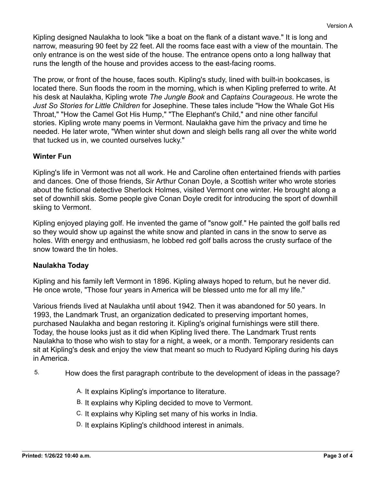Kipling designed Naulakha to look "like a boat on the flank of a distant wave." It is long and narrow, measuring 90 feet by 22 feet. All the rooms face east with a view of the mountain. The only entrance is on the west side of the house. The entrance opens onto a long hallway that runs the length of the house and provides access to the east-facing rooms.

The prow, or front of the house, faces south. Kipling's study, lined with built-in bookcases, is located there. Sun floods the room in the morning, which is when Kipling preferred to write. At his desk at Naulakha, Kipling wrote *The Jungle Book* and *Captains Courageous*. He wrote the *Just So Stories for Little Children* for Josephine. These tales include "How the Whale Got His Throat," "How the Camel Got His Hump," "The Elephant's Child," and nine other fanciful stories. Kipling wrote many poems in Vermont. Naulakha gave him the privacy and time he needed. He later wrote, "When winter shut down and sleigh bells rang all over the white world that tucked us in, we counted ourselves lucky."

## **Winter Fun**

Kipling's life in Vermont was not all work. He and Caroline often entertained friends with parties and dances. One of those friends, Sir Arthur Conan Doyle, a Scottish writer who wrote stories about the fictional detective Sherlock Holmes, visited Vermont one winter. He brought along a set of downhill skis. Some people give Conan Doyle credit for introducing the sport of downhill skiing to Vermont.

Kipling enjoyed playing golf. He invented the game of "snow golf." He painted the golf balls red so they would show up against the white snow and planted in cans in the snow to serve as holes. With energy and enthusiasm, he lobbed red golf balls across the crusty surface of the snow toward the tin holes.

#### **Naulakha Today**

Kipling and his family left Vermont in 1896. Kipling always hoped to return, but he never did. He once wrote, "Those four years in America will be blessed unto me for all my life."

Various friends lived at Naulakha until about 1942. Then it was abandoned for 50 years. In 1993, the Landmark Trust, an organization dedicated to preserving important homes, purchased Naulakha and began restoring it. Kipling's original furnishings were still there. Today, the house looks just as it did when Kipling lived there. The Landmark Trust rents Naulakha to those who wish to stay for a night, a week, or a month. Temporary residents can sit at Kipling's desk and enjoy the view that meant so much to Rudyard Kipling during his days in America.

- 5. How does the first paragraph contribute to the development of ideas in the passage?
	- A. It explains Kipling's importance to literature.
	- B. It explains why Kipling decided to move to Vermont.
	- C. It explains why Kipling set many of his works in India.
	- D. It explains Kipling's childhood interest in animals.